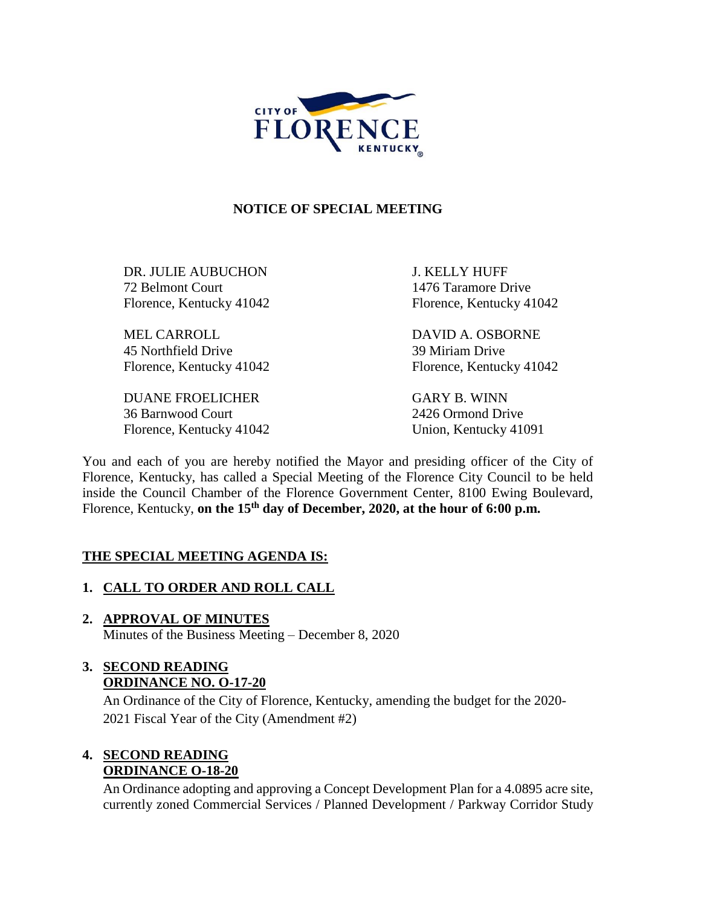

### **NOTICE OF SPECIAL MEETING**

DR. JULIE AUBUCHON J. KELLY HUFF 72 Belmont Court 1476 Taramore Drive Florence, Kentucky 41042 Florence, Kentucky 41042

MEL CARROLL DAVID A. OSBORNE 45 Northfield Drive 39 Miriam Drive Florence, Kentucky 41042 Florence, Kentucky 41042

DUANE FROELICHER GARY B. WINN 36 Barnwood Court 2426 Ormond Drive Florence, Kentucky 41042 Union, Kentucky 41091

You and each of you are hereby notified the Mayor and presiding officer of the City of Florence, Kentucky, has called a Special Meeting of the Florence City Council to be held inside the Council Chamber of the Florence Government Center, 8100 Ewing Boulevard, Florence, Kentucky, **on the 15th day of December, 2020, at the hour of 6:00 p.m.** 

### **THE SPECIAL MEETING AGENDA IS:**

### **1. CALL TO ORDER AND ROLL CALL**

**2. APPROVAL OF MINUTES** Minutes of the Business Meeting – December 8, 2020

## **3. SECOND READING ORDINANCE NO. O-17-20**

An Ordinance of the City of Florence, Kentucky, amending the budget for the 2020- 2021 Fiscal Year of the City (Amendment #2)

### **4. SECOND READING ORDINANCE O-18-20**

An Ordinance adopting and approving a Concept Development Plan for a 4.0895 acre site, currently zoned Commercial Services / Planned Development / Parkway Corridor Study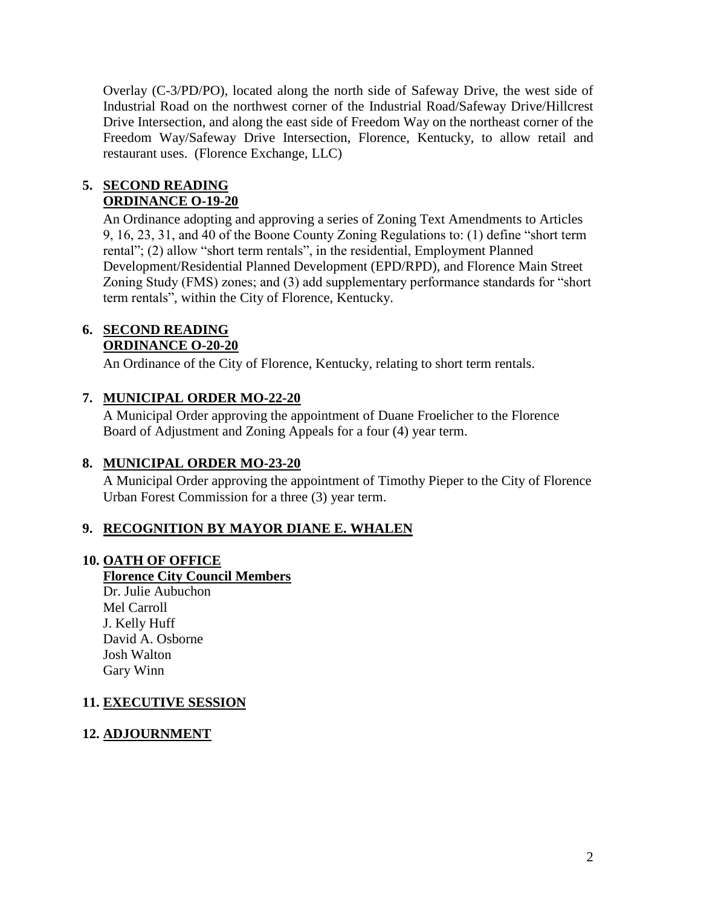Overlay (C-3/PD/PO), located along the north side of Safeway Drive, the west side of Industrial Road on the northwest corner of the Industrial Road/Safeway Drive/Hillcrest Drive Intersection, and along the east side of Freedom Way on the northeast corner of the Freedom Way/Safeway Drive Intersection, Florence, Kentucky, to allow retail and restaurant uses. (Florence Exchange, LLC)

### **5. SECOND READING ORDINANCE O-19-20**

An Ordinance adopting and approving a series of Zoning Text Amendments to Articles 9, 16, 23, 31, and 40 of the Boone County Zoning Regulations to: (1) define "short term rental"; (2) allow "short term rentals", in the residential, Employment Planned Development/Residential Planned Development (EPD/RPD), and Florence Main Street Zoning Study (FMS) zones; and (3) add supplementary performance standards for "short term rentals", within the City of Florence, Kentucky.

### **6. SECOND READING ORDINANCE O-20-20**

An Ordinance of the City of Florence, Kentucky, relating to short term rentals.

## **7. MUNICIPAL ORDER MO-22-20**

A Municipal Order approving the appointment of Duane Froelicher to the Florence Board of Adjustment and Zoning Appeals for a four (4) year term.

## **8. MUNICIPAL ORDER MO-23-20**

A Municipal Order approving the appointment of Timothy Pieper to the City of Florence Urban Forest Commission for a three (3) year term.

## **9. RECOGNITION BY MAYOR DIANE E. WHALEN**

### **10. OATH OF OFFICE**

## **Florence City Council Members**

Dr. Julie Aubuchon Mel Carroll J. Kelly Huff David A. Osborne Josh Walton Gary Winn

### **11. EXECUTIVE SESSION**

### **12. ADJOURNMENT**